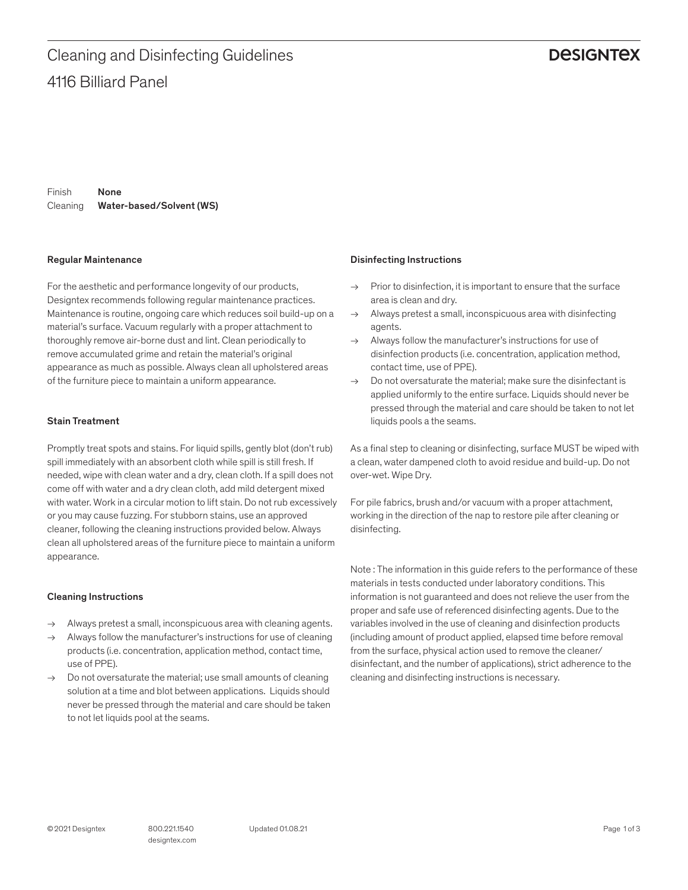### **DESIGNTEX**

Finish Cleaning Water-based/Solvent (WS) None

#### Regular Maintenance

For the aesthetic and performance longevity of our products, Designtex recommends following regular maintenance practices. Maintenance is routine, ongoing care which reduces soil build-up on a material's surface. Vacuum regularly with a proper attachment to thoroughly remove air-borne dust and lint. Clean periodically to remove accumulated grime and retain the material's original appearance as much as possible. Always clean all upholstered areas of the furniture piece to maintain a uniform appearance.

#### Stain Treatment

Promptly treat spots and stains. For liquid spills, gently blot (don't rub) spill immediately with an absorbent cloth while spill is still fresh. If needed, wipe with clean water and a dry, clean cloth. If a spill does not come off with water and a dry clean cloth, add mild detergent mixed with water. Work in a circular motion to lift stain. Do not rub excessively or you may cause fuzzing. For stubborn stains, use an approved cleaner, following the cleaning instructions provided below. Always clean all upholstered areas of the furniture piece to maintain a uniform appearance.

#### Cleaning Instructions

- → Always pretest a small, inconspicuous area with cleaning agents.
- Always follow the manufacturer's instructions for use of cleaning products (i.e. concentration, application method, contact time, use of PPE).
- $\rightarrow$  Do not oversaturate the material; use small amounts of cleaning solution at a time and blot between applications. Liquids should never be pressed through the material and care should be taken to not let liquids pool at the seams.

#### Disinfecting Instructions

- $\rightarrow$  Prior to disinfection, it is important to ensure that the surface area is clean and dry.
- $\rightarrow$  Always pretest a small, inconspicuous area with disinfecting agents.
- $\rightarrow$  Always follow the manufacturer's instructions for use of disinfection products (i.e. concentration, application method, contact time, use of PPE).
- $\rightarrow$  Do not oversaturate the material: make sure the disinfectant is applied uniformly to the entire surface. Liquids should never be pressed through the material and care should be taken to not let liquids pools a the seams.

As a final step to cleaning or disinfecting, surface MUST be wiped with a clean, water dampened cloth to avoid residue and build-up. Do not over-wet. Wipe Dry.

For pile fabrics, brush and/or vacuum with a proper attachment, working in the direction of the nap to restore pile after cleaning or disinfecting.

Note : The information in this guide refers to the performance of these materials in tests conducted under laboratory conditions. This information is not guaranteed and does not relieve the user from the proper and safe use of referenced disinfecting agents. Due to the variables involved in the use of cleaning and disinfection products (including amount of product applied, elapsed time before removal from the surface, physical action used to remove the cleaner/ disinfectant, and the number of applications), strict adherence to the cleaning and disinfecting instructions is necessary.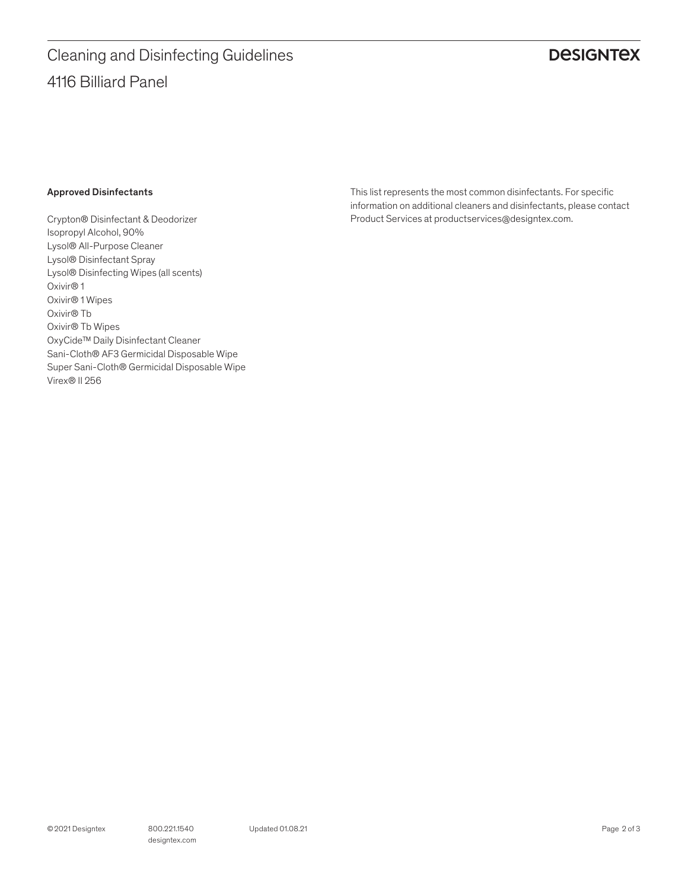# 4116 Billiard Panel Cleaning and Disinfecting Guidelines

## **DESIGNTEX**

#### Approved Disinfectants

Crypton® Disinfectant & Deodorizer Isopropyl Alcohol, 90% Lysol® All-Purpose Cleaner Lysol® Disinfectant Spray Lysol® Disinfecting Wipes (all scents) Oxivir® 1 Oxivir® 1 Wipes Oxivir® Tb Oxivir® Tb Wipes OxyCide™ Daily Disinfectant Cleaner Sani-Cloth® AF3 Germicidal Disposable Wipe Super Sani-Cloth® Germicidal Disposable Wipe Virex® II 256

This list represents the most common disinfectants. For specific information on additional cleaners and disinfectants, please contact Product Services at productservices@designtex.com.